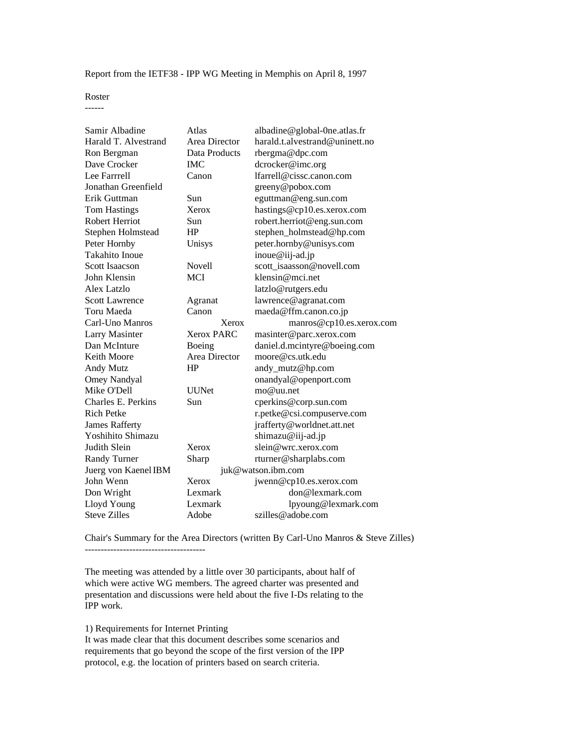Report from the IETF38 - IPP WG Meeting in Memphis on April 8, 1997

Roster

------

| Samir Albadine            | Atlas         | albadine@global-One.atlas.fr   |
|---------------------------|---------------|--------------------------------|
| Harald T. Alvestrand      | Area Director | harald.t.alvestrand@uninett.no |
| Ron Bergman               | Data Products | rbergma@dpc.com                |
| Dave Crocker              | <b>IMC</b>    | dcrocker@imc.org               |
| Lee Farrrell              | Canon         | lfarrell@cissc.canon.com       |
| Jonathan Greenfield       |               | greeny@pobox.com               |
| Erik Guttman              | Sun           | eguttman@eng.sun.com           |
| <b>Tom Hastings</b>       | Xerox         | hastings@cp10.es.xerox.com     |
| Robert Herriot            | Sun           | robert.herriot@eng.sun.com     |
| Stephen Holmstead         | HP            | stephen_holmstead@hp.com       |
| Peter Hornby              | Unisys        | peter.hornby@unisys.com        |
| Takahito Inoue            |               | inoue@iij-ad.jp                |
| <b>Scott Isaacson</b>     | <b>Novell</b> | scott isaasson@novell.com      |
| John Klensin              | <b>MCI</b>    | klensin@mci.net                |
| Alex Latzlo               |               | latzlo@rutgers.edu             |
| <b>Scott Lawrence</b>     | Agranat       | lawrence@agranat.com           |
| Toru Maeda                | Canon         | maeda@ffm.canon.co.jp          |
| Carl-Uno Manros           | Xerox         | manros@cp10.es.xerox.com       |
| <b>Larry Masinter</b>     | Xerox PARC    | masinter@parc.xerox.com        |
| Dan McInture              | Boeing        | daniel.d.mcintyre@boeing.com   |
| Keith Moore               | Area Director | moore@cs.utk.edu               |
| Andy Mutz                 | HP            | andy_mutz@hp.com               |
| <b>Omey Nandyal</b>       |               | onandyal@openport.com          |
| Mike O'Dell               | <b>UUNet</b>  | mo@uu.net                      |
| <b>Charles E. Perkins</b> | Sun           | cperkins@corp.sun.com          |
| Rich Petke                |               | r.petke@csi.compuserve.com     |
| <b>James Rafferty</b>     |               | jrafferty@worldnet.att.net     |
| Yoshihito Shimazu         |               | shimazu@iij-ad.jp              |
| Judith Slein              | Xerox         | slein@wrc.xerox.com            |
| <b>Randy Turner</b>       | Sharp         | rturner@sharplabs.com          |
| Juerg von Kaenel IBM      |               | juk@watson.ibm.com             |
| John Wenn                 | Xerox         | jwenn@cp10.es.xerox.com        |
| Don Wright                | Lexmark       | don@lexmark.com                |
| Lloyd Young               | Lexmark       | lpyoung@lexmark.com            |
| <b>Steve Zilles</b>       | Adobe         | szilles@adobe.com              |

Chair's Summary for the Area Directors (written By Carl-Uno Manros & Steve Zilles) --------------------------------------

The meeting was attended by a little over 30 participants, about half of which were active WG members. The agreed charter was presented and presentation and discussions were held about the five I-Ds relating to the IPP work.

1) Requirements for Internet Printing

It was made clear that this document describes some scenarios and requirements that go beyond the scope of the first version of the IPP protocol, e.g. the location of printers based on search criteria.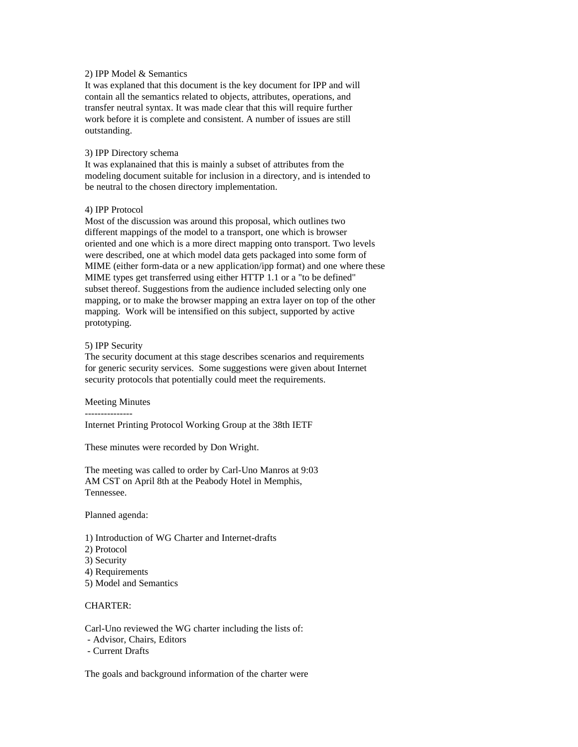## 2) IPP Model & Semantics

It was explaned that this document is the key document for IPP and will contain all the semantics related to objects, attributes, operations, and transfer neutral syntax. It was made clear that this will require further work before it is complete and consistent. A number of issues are still outstanding.

#### 3) IPP Directory schema

It was explanained that this is mainly a subset of attributes from the modeling document suitable for inclusion in a directory, and is intended to be neutral to the chosen directory implementation.

### 4) IPP Protocol

Most of the discussion was around this proposal, which outlines two different mappings of the model to a transport, one which is browser oriented and one which is a more direct mapping onto transport. Two levels were described, one at which model data gets packaged into some form of MIME (either form-data or a new application/ipp format) and one where these MIME types get transferred using either HTTP 1.1 or a "to be defined" subset thereof. Suggestions from the audience included selecting only one mapping, or to make the browser mapping an extra layer on top of the other mapping. Work will be intensified on this subject, supported by active prototyping.

#### 5) IPP Security

The security document at this stage describes scenarios and requirements for generic security services. Some suggestions were given about Internet security protocols that potentially could meet the requirements.

#### Meeting Minutes

---------------

Internet Printing Protocol Working Group at the 38th IETF

These minutes were recorded by Don Wright.

The meeting was called to order by Carl-Uno Manros at 9:03 AM CST on April 8th at the Peabody Hotel in Memphis, Tennessee.

Planned agenda:

- 1) Introduction of WG Charter and Internet-drafts
- 2) Protocol
- 3) Security
- 4) Requirements
- 5) Model and Semantics

### CHARTER:

Carl-Uno reviewed the WG charter including the lists of:

- Advisor, Chairs, Editors
- Current Drafts

The goals and background information of the charter were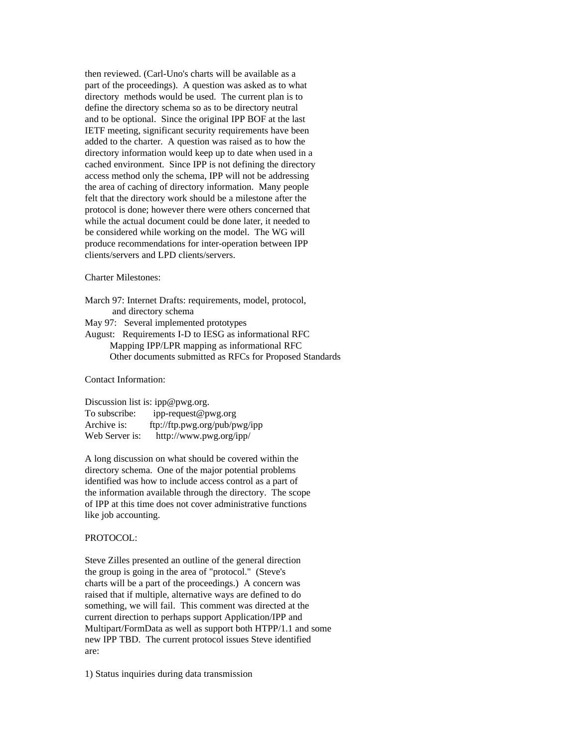then reviewed. (Carl-Uno's charts will be available as a part of the proceedings). A question was asked as to what directory methods would be used. The current plan is to define the directory schema so as to be directory neutral and to be optional. Since the original IPP BOF at the last IETF meeting, significant security requirements have been added to the charter. A question was raised as to how the directory information would keep up to date when used in a cached environment. Since IPP is not defining the directory access method only the schema, IPP will not be addressing the area of caching of directory information. Many people felt that the directory work should be a milestone after the protocol is done; however there were others concerned that while the actual document could be done later, it needed to be considered while working on the model. The WG will produce recommendations for inter-operation between IPP clients/servers and LPD clients/servers.

### Charter Milestones:

March 97: Internet Drafts: requirements, model, protocol, and directory schema

- May 97: Several implemented prototypes
- August: Requirements I-D to IESG as informational RFC Mapping IPP/LPR mapping as informational RFC Other documents submitted as RFCs for Proposed Standards

Contact Information:

Discussion list is: ipp@pwg.org. To subscribe: ipp-request@pwg.org Archive is: ftp://ftp.pwg.org/pub/pwg/ipp Web Server is: http://www.pwg.org/ipp/

A long discussion on what should be covered within the directory schema. One of the major potential problems identified was how to include access control as a part of the information available through the directory. The scope of IPP at this time does not cover administrative functions like job accounting.

#### PROTOCOL:

Steve Zilles presented an outline of the general direction the group is going in the area of "protocol." (Steve's charts will be a part of the proceedings.) A concern was raised that if multiple, alternative ways are defined to do something, we will fail. This comment was directed at the current direction to perhaps support Application/IPP and Multipart/FormData as well as support both HTPP/1.1 and some new IPP TBD. The current protocol issues Steve identified are:

1) Status inquiries during data transmission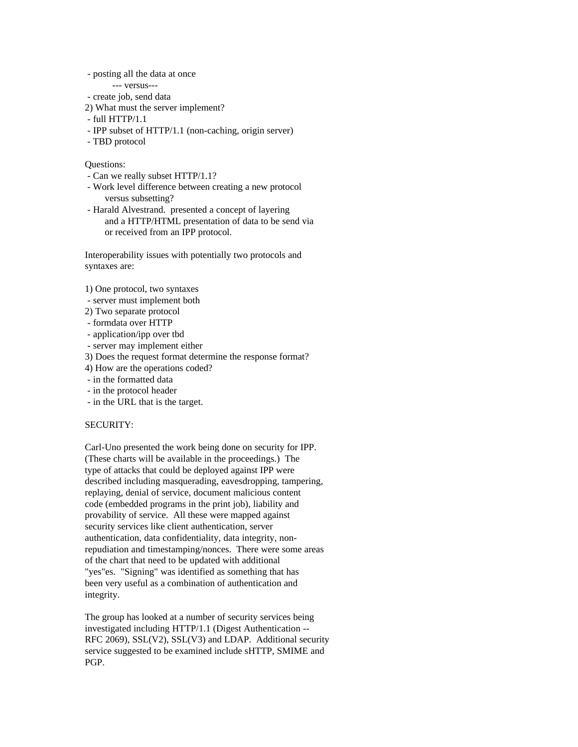- posting all the data at once

--- versus---

- create job, send data
- 2) What must the server implement?
- full HTTP/1.1
- IPP subset of HTTP/1.1 (non-caching, origin server)
- TBD protocol

### Questions:

- Can we really subset HTTP/1.1?
- Work level difference between creating a new protocol versus subsetting?
- Harald Alvestrand. presented a concept of layering and a HTTP/HTML presentation of data to be send via or received from an IPP protocol.

Interoperability issues with potentially two protocols and syntaxes are:

- 1) One protocol, two syntaxes
- server must implement both
- 2) Two separate protocol
- formdata over HTTP
- application/ipp over tbd
- server may implement either
- 3) Does the request format determine the response format?
- 4) How are the operations coded?
- in the formatted data
- in the protocol header
- in the URL that is the target.

## SECURITY:

Carl-Uno presented the work being done on security for IPP. (These charts will be available in the proceedings.) The type of attacks that could be deployed against IPP were described including masquerading, eavesdropping, tampering, replaying, denial of service, document malicious content code (embedded programs in the print job), liability and provability of service. All these were mapped against security services like client authentication, server authentication, data confidentiality, data integrity, nonrepudiation and timestamping/nonces. There were some areas of the chart that need to be updated with additional "yes"es. "Signing" was identified as something that has been very useful as a combination of authentication and integrity.

The group has looked at a number of security services being investigated including HTTP/1.1 (Digest Authentication -- RFC 2069), SSL(V2), SSL(V3) and LDAP. Additional security service suggested to be examined include sHTTP, SMIME and PGP.